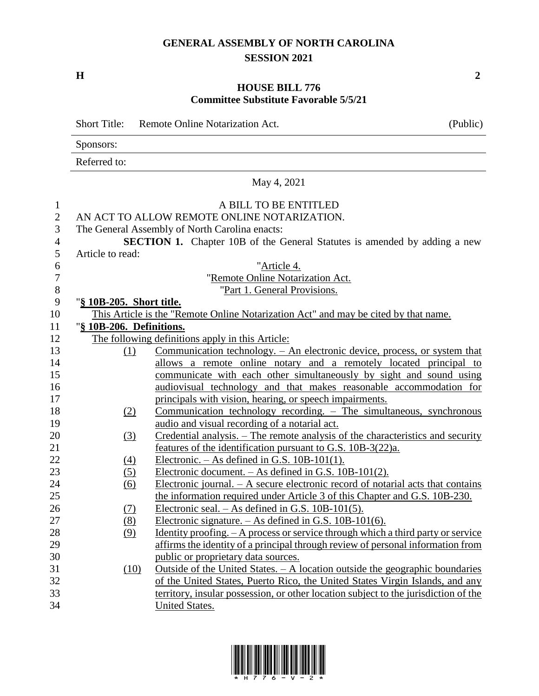## **GENERAL ASSEMBLY OF NORTH CAROLINA SESSION 2021**

**H 2**

## **HOUSE BILL 776 Committee Substitute Favorable 5/5/21**

Short Title: Remote Online Notarization Act. (Public) Sponsors: Referred to: May 4, 2021 A BILL TO BE ENTITLED AN ACT TO ALLOW REMOTE ONLINE NOTARIZATION. The General Assembly of North Carolina enacts: **SECTION 1.** Chapter 10B of the General Statutes is amended by adding a new Article to read: "Article 4. "Remote Online Notarization Act. 8 "Part 1. General Provisions. "**§ 10B-205. Short title.** This Article is the "Remote Online Notarization Act" and may be cited by that name. "**§ 10B-206. Definitions.** The following definitions apply in this Article: (1) Communication technology. – An electronic device, process, or system that allows a remote online notary and a remotely located principal to communicate with each other simultaneously by sight and sound using audiovisual technology and that makes reasonable accommodation for 17 principals with vision, hearing, or speech impairments. (2) Communication technology recording. – The simultaneous, synchronous audio and visual recording of a notarial act. (3) Credential analysis. – The remote analysis of the characteristics and security **features of the identification pursuant to G.S. 10B-3(22)a.** 22 (4) Electronic. – As defined in G.S.  $10B-101(1)$ . (5) Electronic document. – As defined in G.S. 10B-101(2). (6) Electronic journal. – A secure electronic record of notarial acts that contains the information required under Article 3 of this Chapter and G.S. 10B-230. (7) Electronic seal. – As defined in G.S. 10B-101(5). (8) Electronic signature. – As defined in G.S. 10B-101(6). 28 (9) Identity proofing. – A process or service through which a third party or service affirms the identity of a principal through review of personal information from public or proprietary data sources. (10) Outside of the United States. – A location outside the geographic boundaries of the United States, Puerto Rico, the United States Virgin Islands, and any territory, insular possession, or other location subject to the jurisdiction of the United States.

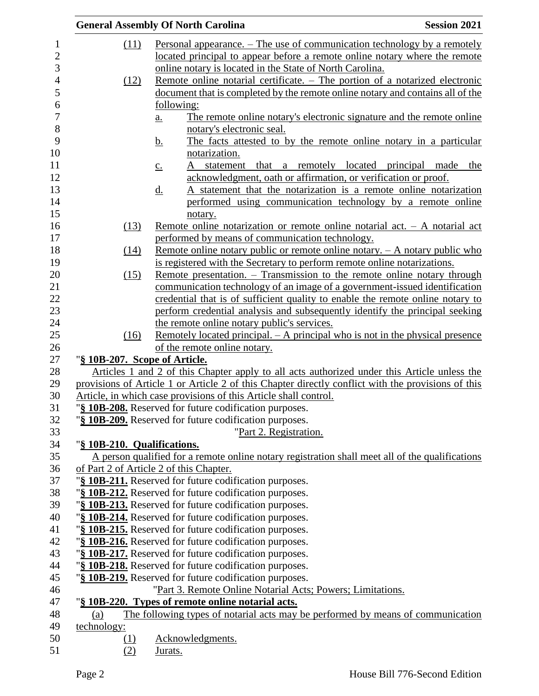|                               | <b>Session 2021</b><br><b>General Assembly Of North Carolina</b>                                                           |
|-------------------------------|----------------------------------------------------------------------------------------------------------------------------|
| (11)                          | Personal appearance. – The use of communication technology by a remotely                                                   |
|                               | located principal to appear before a remote online notary where the remote                                                 |
|                               | online notary is located in the State of North Carolina.                                                                   |
| (12)                          | Remote online notarial certificate. – The portion of a notarized electronic                                                |
|                               | document that is completed by the remote online notary and contains all of the                                             |
|                               | following:                                                                                                                 |
|                               | The remote online notary's electronic signature and the remote online<br>$\underline{a}$ .                                 |
|                               | notary's electronic seal.                                                                                                  |
|                               | The facts attested to by the remote online notary in a particular<br><u>b.</u>                                             |
|                               | notarization.                                                                                                              |
|                               | that<br>a remotely located principal made<br>statement<br>the                                                              |
|                               | $\underline{c}$ .<br>acknowledgment, oath or affirmation, or verification or proof.                                        |
|                               | A statement that the notarization is a remote online notarization                                                          |
|                               | <u>d.</u><br>performed using communication technology by a remote online                                                   |
|                               |                                                                                                                            |
|                               | notary.                                                                                                                    |
| (13)                          | Remote online notarization or remote online notarial act. $-$ A notarial act                                               |
|                               | performed by means of communication technology.                                                                            |
| (14)                          | Remote online notary public or remote online notary. $- A$ notary public who                                               |
|                               | is registered with the Secretary to perform remote online notarizations.                                                   |
| (15)                          | Remote presentation. – Transmission to the remote online notary through                                                    |
|                               | communication technology of an image of a government-issued identification                                                 |
|                               | credential that is of sufficient quality to enable the remote online notary to                                             |
|                               | perform credential analysis and subsequently identify the principal seeking<br>the remote online notary public's services. |
| (16)                          | <u>Remotely located principal. – A principal who is not in the physical presence</u>                                       |
|                               | of the remote online notary.                                                                                               |
| "§ 10B-207. Scope of Article. |                                                                                                                            |
|                               | Articles 1 and 2 of this Chapter apply to all acts authorized under this Article unless the                                |
|                               | provisions of Article 1 or Article 2 of this Chapter directly conflict with the provisions of this                         |
|                               | Article, in which case provisions of this Article shall control.                                                           |
|                               | "§ 10B-208. Reserved for future codification purposes.                                                                     |
|                               | "§ 10B-209. Reserved for future codification purposes.                                                                     |
|                               | "Part 2. Registration.                                                                                                     |
| "§ 10B-210. Qualifications.   |                                                                                                                            |
|                               | A person qualified for a remote online notary registration shall meet all of the qualifications                            |
|                               | of Part 2 of Article 2 of this Chapter.                                                                                    |
|                               | "§ 10B-211. Reserved for future codification purposes.                                                                     |
|                               | "§ 10B-212. Reserved for future codification purposes.                                                                     |
|                               | "§ 10B-213. Reserved for future codification purposes.                                                                     |
|                               | "§ 10B-214. Reserved for future codification purposes.                                                                     |
|                               | "§ 10B-215. Reserved for future codification purposes.                                                                     |
|                               | "§ 10B-216. Reserved for future codification purposes.                                                                     |
|                               | "§ 10B-217. Reserved for future codification purposes.                                                                     |
|                               | "§ 10B-218. Reserved for future codification purposes.                                                                     |
|                               | "§ 10B-219. Reserved for future codification purposes.                                                                     |
|                               | "Part 3. Remote Online Notarial Acts; Powers; Limitations.                                                                 |
|                               | "§ 10B-220. Types of remote online notarial acts.                                                                          |
| (a)                           | The following types of notarial acts may be performed by means of communication                                            |
| technology:                   |                                                                                                                            |
| <u>(1)</u>                    | Acknowledgments.                                                                                                           |
| (2)                           | Jurats.                                                                                                                    |
|                               |                                                                                                                            |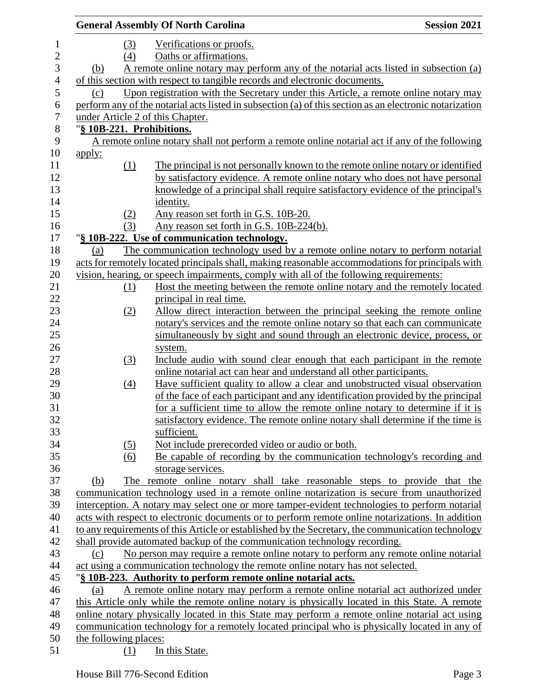|                  |                       |                   | <b>General Assembly Of North Carolina</b>                                                               | <b>Session 2021</b> |
|------------------|-----------------------|-------------------|---------------------------------------------------------------------------------------------------------|---------------------|
| $\mathbf{1}$     |                       | (3)               | Verifications or proofs.                                                                                |                     |
| $\mathbf{2}$     |                       | (4)               | Oaths or affirmations.                                                                                  |                     |
| 3                | (b)                   |                   | A remote online notary may perform any of the notarial acts listed in subsection (a)                    |                     |
| $\overline{4}$   |                       |                   | of this section with respect to tangible records and electronic documents.                              |                     |
| 5                | (c)                   |                   | Upon registration with the Secretary under this Article, a remote online notary may                     |                     |
| 6                |                       |                   | perform any of the notarial acts listed in subsection (a) of this section as an electronic notarization |                     |
| $\boldsymbol{7}$ |                       |                   | under Article 2 of this Chapter.                                                                        |                     |
| $8\,$            |                       |                   | "§ 10B-221. Prohibitions.                                                                               |                     |
| $\mathbf{9}$     |                       |                   | A remote online notary shall not perform a remote online notarial act if any of the following           |                     |
| 10               | <u>apply:</u>         |                   |                                                                                                         |                     |
| 11               |                       | (1)               | The principal is not personally known to the remote online notary or identified                         |                     |
| 12               |                       |                   | by satisfactory evidence. A remote online notary who does not have personal                             |                     |
| 13               |                       |                   | knowledge of a principal shall require satisfactory evidence of the principal's                         |                     |
| 14               |                       |                   | identity.                                                                                               |                     |
| 15               |                       | (2)               | Any reason set forth in G.S. 10B-20.                                                                    |                     |
| 16               |                       | (3)               | Any reason set forth in G.S. 10B-224(b).                                                                |                     |
| 17               |                       |                   | "§ 10B-222. Use of communication technology.                                                            |                     |
| 18               | (a)                   |                   | The communication technology used by a remote online notary to perform notarial                         |                     |
| 19               |                       |                   | acts for remotely located principals shall, making reasonable accommodations for principals with        |                     |
| 20               |                       |                   | vision, hearing, or speech impairments, comply with all of the following requirements:                  |                     |
| 21               |                       | (1)               | Host the meeting between the remote online notary and the remotely located                              |                     |
| 22               |                       |                   | principal in real time.                                                                                 |                     |
| 23               |                       | (2)               | Allow direct interaction between the principal seeking the remote online                                |                     |
| 24               |                       |                   | notary's services and the remote online notary so that each can communicate                             |                     |
| 25               |                       |                   | simultaneously by sight and sound through an electronic device, process, or                             |                     |
| 26               |                       |                   | system.                                                                                                 |                     |
| 27               |                       | (3)               | Include audio with sound clear enough that each participant in the remote                               |                     |
| 28               |                       |                   | online notarial act can hear and understand all other participants.                                     |                     |
| 29               |                       | $\underline{(4)}$ | Have sufficient quality to allow a clear and unobstructed visual observation                            |                     |
| 30               |                       |                   | of the face of each participant and any identification provided by the principal                        |                     |
| 31               |                       |                   | for a sufficient time to allow the remote online notary to determine if it is                           |                     |
| 32               |                       |                   | satisfactory evidence. The remote online notary shall determine if the time is                          |                     |
| 33               |                       |                   | sufficient.                                                                                             |                     |
| 34               |                       | (5)               | Not include prerecorded video or audio or both.                                                         |                     |
| 35               |                       | (6)               | Be capable of recording by the communication technology's recording and                                 |                     |
| 36               |                       |                   | storage services.                                                                                       |                     |
| 37               | (b)                   |                   | The remote online notary shall take reasonable steps to provide that the                                |                     |
| 38               |                       |                   | communication technology used in a remote online notarization is secure from unauthorized               |                     |
| 39               |                       |                   | interception. A notary may select one or more tamper-evident technologies to perform notarial           |                     |
| 40               |                       |                   | acts with respect to electronic documents or to perform remote online notarizations. In addition        |                     |
| 41               |                       |                   | to any requirements of this Article or established by the Secretary, the communication technology       |                     |
| 42               |                       |                   | shall provide automated backup of the communication technology recording.                               |                     |
| 43               | (c)                   |                   | No person may require a remote online notary to perform any remote online notarial                      |                     |
| 44               |                       |                   | act using a communication technology the remote online notary has not selected.                         |                     |
| 45               |                       |                   | "§ 10B-223. Authority to perform remote online notarial acts.                                           |                     |
| 46               | (a)                   |                   | A remote online notary may perform a remote online notarial act authorized under                        |                     |
| 47               |                       |                   | this Article only while the remote online notary is physically located in this State. A remote          |                     |
| 48<br>49         |                       |                   | online notary physically located in this State may perform a remote online notarial act using           |                     |
|                  |                       |                   | communication technology for a remotely located principal who is physically located in any of           |                     |
| 50               | the following places: |                   |                                                                                                         |                     |
| 51               |                       | (1)               | In this State.                                                                                          |                     |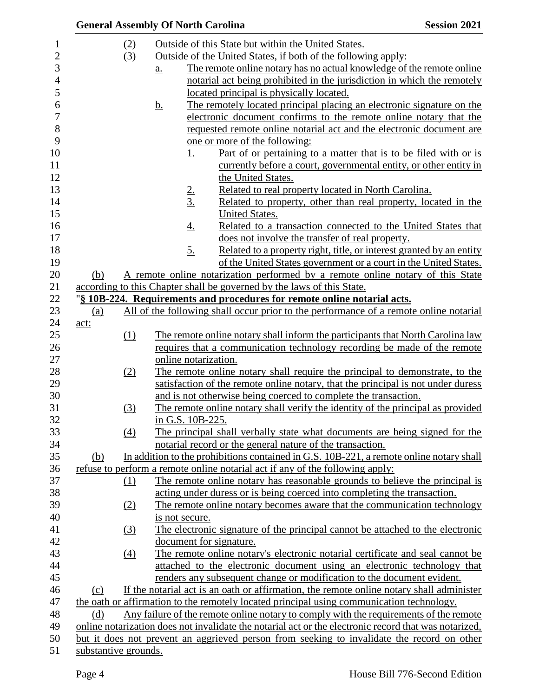|                      |                  | <b>General Assembly Of North Carolina</b>                                                             | <b>Session 2021</b> |
|----------------------|------------------|-------------------------------------------------------------------------------------------------------|---------------------|
| (2)                  |                  | Outside of this State but within the United States.                                                   |                     |
| (3)                  |                  | Outside of the United States, if both of the following apply:                                         |                     |
|                      |                  | The remote online notary has no actual knowledge of the remote online<br>$\underline{a}$ .            |                     |
|                      |                  | notarial act being prohibited in the jurisdiction in which the remotely                               |                     |
|                      |                  | located principal is physically located.                                                              |                     |
|                      |                  | The remotely located principal placing an electronic signature on the<br><u>b.</u>                    |                     |
|                      |                  | electronic document confirms to the remote online notary that the                                     |                     |
|                      |                  | requested remote online notarial act and the electronic document are                                  |                     |
|                      |                  | one or more of the following:                                                                         |                     |
|                      |                  | <u>Part of or pertaining to a matter that is to be filed with or is</u><br><u>1.</u>                  |                     |
|                      |                  | currently before a court, governmental entity, or other entity in<br>the United States.               |                     |
|                      |                  | Related to real property located in North Carolina.                                                   |                     |
|                      |                  | $\frac{2}{3}$<br>Related to property, other than real property, located in the                        |                     |
|                      |                  | United States.                                                                                        |                     |
|                      |                  | Related to a transaction connected to the United States that<br><u>4.</u>                             |                     |
|                      |                  | does not involve the transfer of real property.                                                       |                     |
|                      |                  | <u>5.</u><br>Related to a property right, title, or interest granted by an entity                     |                     |
|                      |                  | of the United States government or a court in the United States.                                      |                     |
| (b)                  |                  | A remote online notarization performed by a remote online notary of this State                        |                     |
|                      |                  | according to this Chapter shall be governed by the laws of this State.                                |                     |
|                      |                  | "§ 10B-224. Requirements and procedures for remote online notarial acts.                              |                     |
| (a)                  |                  | All of the following shall occur prior to the performance of a remote online notarial                 |                     |
| act:                 |                  |                                                                                                       |                     |
|                      | (1)              | The remote online notary shall inform the participants that North Carolina law                        |                     |
|                      |                  | requires that a communication technology recording be made of the remote                              |                     |
|                      |                  | online notarization.                                                                                  |                     |
|                      | (2)              | The remote online notary shall require the principal to demonstrate, to the                           |                     |
|                      |                  | satisfaction of the remote online notary, that the principal is not under duress                      |                     |
|                      |                  | and is not otherwise being coerced to complete the transaction.                                       |                     |
|                      | (3)              | The remote online notary shall verify the identity of the principal as provided                       |                     |
|                      |                  | in G.S. 10B-225.                                                                                      |                     |
|                      | (4)              | The principal shall verbally state what documents are being signed for the                            |                     |
|                      |                  | notarial record or the general nature of the transaction.                                             |                     |
| (b)                  |                  | In addition to the prohibitions contained in G.S. 10B-221, a remote online notary shall               |                     |
|                      |                  | refuse to perform a remote online notarial act if any of the following apply:                         |                     |
|                      | (1)              | The remote online notary has reasonable grounds to believe the principal is                           |                     |
|                      |                  | acting under duress or is being coerced into completing the transaction.                              |                     |
|                      | (2)              | The remote online notary becomes aware that the communication technology                              |                     |
|                      |                  | is not secure.                                                                                        |                     |
|                      | $\left(3\right)$ | The electronic signature of the principal cannot be attached to the electronic                        |                     |
|                      |                  | document for signature.                                                                               |                     |
|                      | $\left(4\right)$ | The remote online notary's electronic notarial certificate and seal cannot be                         |                     |
|                      |                  | attached to the electronic document using an electronic technology that                               |                     |
|                      |                  | renders any subsequent change or modification to the document evident.                                |                     |
| (c)                  |                  | If the notarial act is an oath or affirmation, the remote online notary shall administer              |                     |
|                      |                  | the oath or affirmation to the remotely located principal using communication technology.             |                     |
| (d)                  |                  | Any failure of the remote online notary to comply with the requirements of the remote                 |                     |
|                      |                  | online notarization does not invalidate the notarial act or the electronic record that was notarized, |                     |
|                      |                  | but it does not prevent an aggrieved person from seeking to invalidate the record on other            |                     |
| substantive grounds. |                  |                                                                                                       |                     |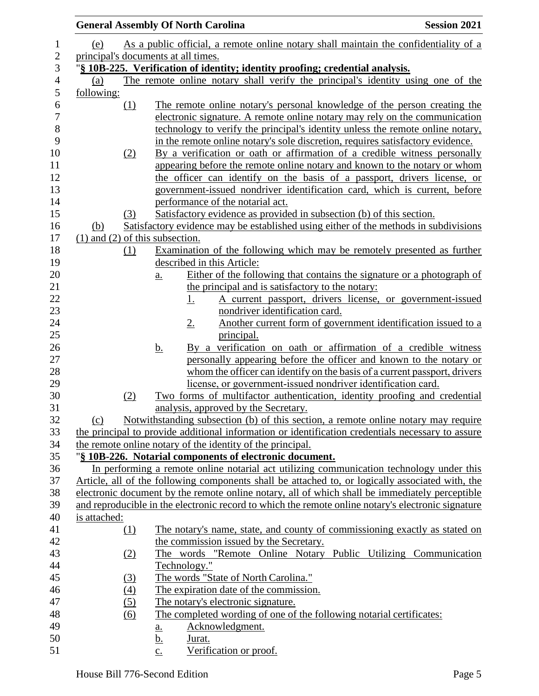|              |                  | <b>General Assembly Of North Carolina</b>                                                                                                                                                            | <b>Session 2021</b> |
|--------------|------------------|------------------------------------------------------------------------------------------------------------------------------------------------------------------------------------------------------|---------------------|
| (e)          |                  | As a public official, a remote online notary shall maintain the confidentiality of a                                                                                                                 |                     |
|              |                  | principal's documents at all times.                                                                                                                                                                  |                     |
|              |                  | "§ 10B-225. Verification of identity; identity proofing; credential analysis.                                                                                                                        |                     |
| (a)          |                  | The remote online notary shall verify the principal's identity using one of the                                                                                                                      |                     |
| following:   |                  |                                                                                                                                                                                                      |                     |
|              | (1)              | The remote online notary's personal knowledge of the person creating the                                                                                                                             |                     |
|              |                  | electronic signature. A remote online notary may rely on the communication                                                                                                                           |                     |
|              |                  | technology to verify the principal's identity unless the remote online notary,                                                                                                                       |                     |
|              |                  | in the remote online notary's sole discretion, requires satisfactory evidence.                                                                                                                       |                     |
|              | (2)              | By a verification or oath or affirmation of a credible witness personally                                                                                                                            |                     |
|              |                  | appearing before the remote online notary and known to the notary or whom                                                                                                                            |                     |
|              |                  | the officer can identify on the basis of a passport, drivers license, or                                                                                                                             |                     |
|              |                  | government-issued nondriver identification card, which is current, before                                                                                                                            |                     |
|              |                  | performance of the notarial act.                                                                                                                                                                     |                     |
|              | (3)              | Satisfactory evidence as provided in subsection (b) of this section.                                                                                                                                 |                     |
| (b)          |                  | Satisfactory evidence may be established using either of the methods in subdivisions                                                                                                                 |                     |
|              |                  | $(1)$ and $(2)$ of this subsection.                                                                                                                                                                  |                     |
|              | (1)              | Examination of the following which may be remotely presented as further                                                                                                                              |                     |
|              |                  | described in this Article:                                                                                                                                                                           |                     |
|              |                  | Either of the following that contains the signature or a photograph of<br>$\underline{a}$ .<br>the principal and is satisfactory to the notary:                                                      |                     |
|              |                  | A current passport, drivers license, or government-issued<br><u>1.</u>                                                                                                                               |                     |
|              |                  | nondriver identification card.                                                                                                                                                                       |                     |
|              |                  | Another current form of government identification issued to a<br>$2_{\cdot}$                                                                                                                         |                     |
|              |                  | principal.                                                                                                                                                                                           |                     |
|              |                  | <u>b.</u><br>By a verification on oath or affirmation of a credible witness                                                                                                                          |                     |
|              |                  | personally appearing before the officer and known to the notary or                                                                                                                                   |                     |
|              |                  | whom the officer can identify on the basis of a current passport, drivers                                                                                                                            |                     |
|              |                  | license, or government-issued nondriver identification card.                                                                                                                                         |                     |
|              | (2)              | Two forms of multifactor authentication, identity proofing and credential                                                                                                                            |                     |
|              |                  | analysis, approved by the Secretary.                                                                                                                                                                 |                     |
| (c)          |                  | Notwithstanding subsection (b) of this section, a remote online notary may require                                                                                                                   |                     |
|              |                  | the principal to provide additional information or identification credentials necessary to assure                                                                                                    |                     |
|              |                  | the remote online notary of the identity of the principal.                                                                                                                                           |                     |
|              |                  | "§ 10B-226. Notarial components of electronic document.                                                                                                                                              |                     |
|              |                  | In performing a remote online notarial act utilizing communication technology under this                                                                                                             |                     |
|              |                  | Article, all of the following components shall be attached to, or logically associated with, the                                                                                                     |                     |
|              |                  | electronic document by the remote online notary, all of which shall be immediately perceptible<br>and reproducible in the electronic record to which the remote online notary's electronic signature |                     |
| is attached: |                  |                                                                                                                                                                                                      |                     |
|              | (1)              | The notary's name, state, and county of commissioning exactly as stated on                                                                                                                           |                     |
|              |                  | the commission issued by the Secretary.                                                                                                                                                              |                     |
|              | (2)              | The words "Remote Online Notary Public Utilizing Communication                                                                                                                                       |                     |
|              |                  | Technology."                                                                                                                                                                                         |                     |
|              | (3)              | The words "State of North Carolina."                                                                                                                                                                 |                     |
|              | $\left(4\right)$ | The expiration date of the commission.                                                                                                                                                               |                     |
|              | (5)              | The notary's electronic signature.                                                                                                                                                                   |                     |
|              | (6)              | The completed wording of one of the following notarial certificates:                                                                                                                                 |                     |
|              |                  | Acknowledgment.<br><u>a.</u>                                                                                                                                                                         |                     |
|              |                  | Jurat.<br><u>b.</u>                                                                                                                                                                                  |                     |
|              |                  | Verification or proof.<br>$\underline{c}$ .                                                                                                                                                          |                     |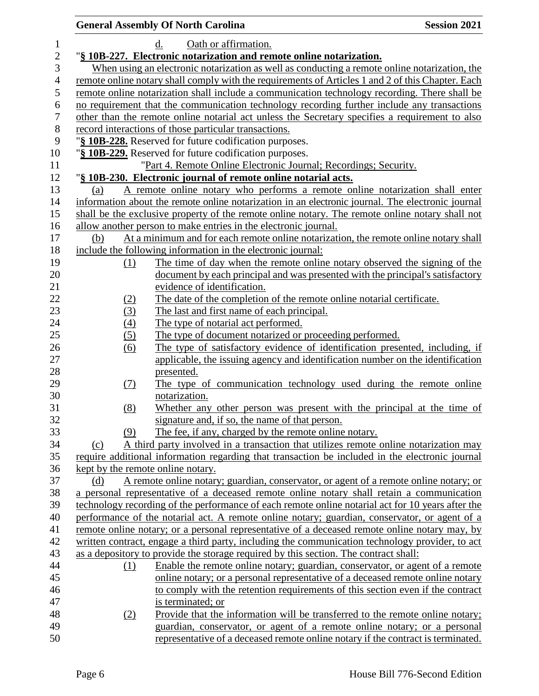|     | <b>General Assembly Of North Carolina</b>                                                         | <b>Session 2021</b> |
|-----|---------------------------------------------------------------------------------------------------|---------------------|
|     | Oath or affirmation.<br>$\mathbf{d}$ .                                                            |                     |
|     | "§ 10B-227. Electronic notarization and remote online notarization.                               |                     |
|     | When using an electronic notarization as well as conducting a remote online notarization, the     |                     |
|     | remote online notary shall comply with the requirements of Articles 1 and 2 of this Chapter. Each |                     |
|     | remote online notarization shall include a communication technology recording. There shall be     |                     |
|     | no requirement that the communication technology recording further include any transactions       |                     |
|     | other than the remote online notarial act unless the Secretary specifies a requirement to also    |                     |
|     | record interactions of those particular transactions.                                             |                     |
|     | "§ 10B-228. Reserved for future codification purposes.                                            |                     |
|     | "§ 10B-229. Reserved for future codification purposes.                                            |                     |
|     | "Part 4. Remote Online Electronic Journal; Recordings; Security.                                  |                     |
|     | "§ 10B-230. Electronic journal of remote online notarial acts.                                    |                     |
| (a) | A remote online notary who performs a remote online notarization shall enter                      |                     |
|     | information about the remote online notarization in an electronic journal. The electronic journal |                     |
|     | shall be the exclusive property of the remote online notary. The remote online notary shall not   |                     |
|     | allow another person to make entries in the electronic journal.                                   |                     |
| (b) | At a minimum and for each remote online notarization, the remote online notary shall              |                     |
|     | include the following information in the electronic journal:                                      |                     |
| (1) | The time of day when the remote online notary observed the signing of the                         |                     |
|     | document by each principal and was presented with the principal's satisfactory                    |                     |
|     | evidence of identification.                                                                       |                     |
| (2) | The date of the completion of the remote online notarial certificate.                             |                     |
| (3) | The last and first name of each principal.                                                        |                     |
| (4) | The type of notarial act performed.                                                               |                     |
| (5) | The type of document notarized or proceeding performed.                                           |                     |
| (6) | The type of satisfactory evidence of identification presented, including, if                      |                     |
|     | applicable, the issuing agency and identification number on the identification                    |                     |
|     | presented.                                                                                        |                     |
| (7) | The type of communication technology used during the remote online                                |                     |
|     | notarization.                                                                                     |                     |
| (8) | Whether any other person was present with the principal at the time of                            |                     |
|     | signature and, if so, the name of that person.                                                    |                     |
| (9) | The fee, if any, charged by the remote online notary.                                             |                     |
| (c) | A third party involved in a transaction that utilizes remote online notarization may              |                     |
|     | require additional information regarding that transaction be included in the electronic journal   |                     |
|     | kept by the remote online notary.                                                                 |                     |
| (d) | A remote online notary; guardian, conservator, or agent of a remote online notary; or             |                     |
|     | a personal representative of a deceased remote online notary shall retain a communication         |                     |
|     | technology recording of the performance of each remote online notarial act for 10 years after the |                     |
|     | performance of the notarial act. A remote online notary; guardian, conservator, or agent of a     |                     |
|     | remote online notary; or a personal representative of a deceased remote online notary may, by     |                     |
|     | written contract, engage a third party, including the communication technology provider, to act   |                     |
|     | as a depository to provide the storage required by this section. The contract shall:              |                     |
| (1) | Enable the remote online notary; guardian, conservator, or agent of a remote                      |                     |
|     | online notary; or a personal representative of a deceased remote online notary                    |                     |
|     | to comply with the retention requirements of this section even if the contract                    |                     |
|     | is terminated; or                                                                                 |                     |
| (2) | Provide that the information will be transferred to the remote online notary;                     |                     |
|     | guardian, conservator, or agent of a remote online notary; or a personal                          |                     |
|     | representative of a deceased remote online notary if the contract is terminated.                  |                     |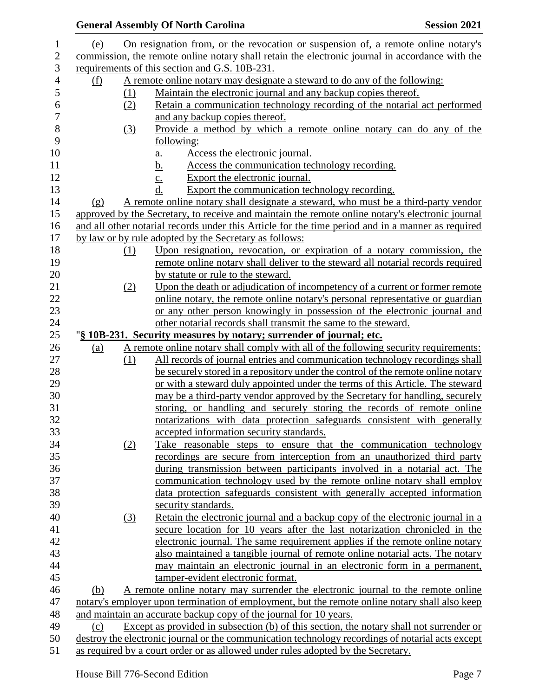|            |     | <b>General Assembly Of North Carolina</b>                                                         | <b>Session 2021</b> |
|------------|-----|---------------------------------------------------------------------------------------------------|---------------------|
| (e)        |     | On resignation from, or the revocation or suspension of, a remote online notary's                 |                     |
|            |     | commission, the remote online notary shall retain the electronic journal in accordance with the   |                     |
|            |     | requirements of this section and G.S. 10B-231.                                                    |                     |
| <u>(f)</u> |     | A remote online notary may designate a steward to do any of the following:                        |                     |
|            | (1) | Maintain the electronic journal and any backup copies thereof.                                    |                     |
|            | (2) | Retain a communication technology recording of the notarial act performed                         |                     |
|            |     | and any backup copies thereof.                                                                    |                     |
|            | (3) | Provide a method by which a remote online notary can do any of the                                |                     |
|            |     | following:                                                                                        |                     |
|            |     | Access the electronic journal.<br>a.                                                              |                     |
|            |     | Access the communication technology recording.<br><u>b.</u>                                       |                     |
|            |     | Export the electronic journal.<br>$\overline{c}$ .                                                |                     |
|            |     | d.<br>Export the communication technology recording.                                              |                     |
| (g)        |     | A remote online notary shall designate a steward, who must be a third-party vendor                |                     |
|            |     | approved by the Secretary, to receive and maintain the remote online notary's electronic journal  |                     |
|            |     | and all other notarial records under this Article for the time period and in a manner as required |                     |
|            |     | by law or by rule adopted by the Secretary as follows:                                            |                     |
|            | (1) | Upon resignation, revocation, or expiration of a notary commission, the                           |                     |
|            |     | remote online notary shall deliver to the steward all notarial records required                   |                     |
|            |     | by statute or rule to the steward.                                                                |                     |
|            | (2) | Upon the death or adjudication of incompetency of a current or former remote                      |                     |
|            |     | online notary, the remote online notary's personal representative or guardian                     |                     |
|            |     | or any other person knowingly in possession of the electronic journal and                         |                     |
|            |     | other notarial records shall transmit the same to the steward.                                    |                     |
|            |     | "§ 10B-231. Security measures by notary; surrender of journal; etc.                               |                     |
| <u>(a)</u> |     | A remote online notary shall comply with all of the following security requirements:              |                     |
|            | (1) | All records of journal entries and communication technology recordings shall                      |                     |
|            |     | be securely stored in a repository under the control of the remote online notary                  |                     |
|            |     | or with a steward duly appointed under the terms of this Article. The steward                     |                     |
|            |     | may be a third-party vendor approved by the Secretary for handling, securely                      |                     |
|            |     | storing, or handling and securely storing the records of remote online                            |                     |
|            |     | notarizations with data protection safeguards consistent with generally                           |                     |
|            |     | accepted information security standards.                                                          |                     |
|            | (2) | Take reasonable steps to ensure that the communication technology                                 |                     |
|            |     | recordings are secure from interception from an unauthorized third party                          |                     |
|            |     | during transmission between participants involved in a notarial act. The                          |                     |
|            |     | communication technology used by the remote online notary shall employ                            |                     |
|            |     | data protection safeguards consistent with generally accepted information                         |                     |
|            |     | security standards.                                                                               |                     |
|            | (3) | <u>Retain the electronic journal and a backup copy of the electronic journal in a</u>             |                     |
|            |     | secure location for 10 years after the last notarization chronicled in the                        |                     |
|            |     | electronic journal. The same requirement applies if the remote online notary                      |                     |
|            |     | also maintained a tangible journal of remote online notarial acts. The notary                     |                     |
|            |     | may maintain an electronic journal in an electronic form in a permanent,                          |                     |
|            |     | tamper-evident electronic format.                                                                 |                     |
| (b)        |     | A remote online notary may surrender the electronic journal to the remote online                  |                     |
|            |     | notary's employer upon termination of employment, but the remote online notary shall also keep    |                     |
|            |     | and maintain an accurate backup copy of the journal for 10 years.                                 |                     |
| (c)        |     | Except as provided in subsection (b) of this section, the notary shall not surrender or           |                     |
|            |     | destroy the electronic journal or the communication technology recordings of notarial acts except |                     |
|            |     | as required by a court order or as allowed under rules adopted by the Secretary.                  |                     |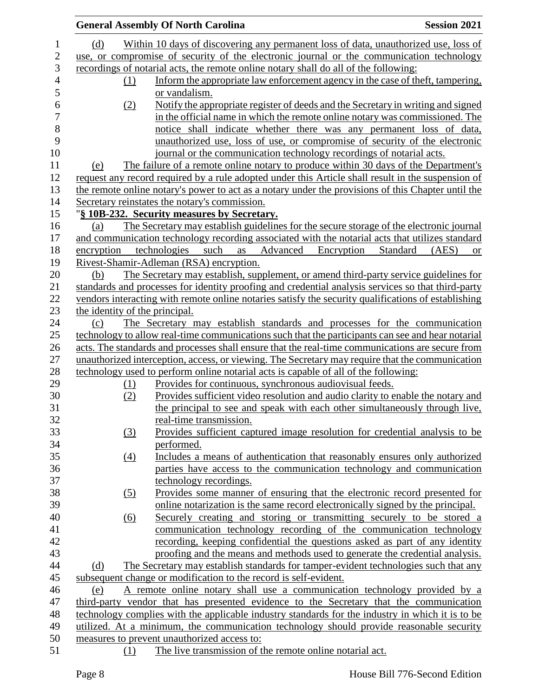|                                | <b>General Assembly Of North Carolina</b>                                                           | <b>Session 2021</b>            |
|--------------------------------|-----------------------------------------------------------------------------------------------------|--------------------------------|
| (d)                            | Within 10 days of discovering any permanent loss of data, unauthorized use, loss of                 |                                |
|                                | use, or compromise of security of the electronic journal or the communication technology            |                                |
|                                | recordings of notarial acts, the remote online notary shall do all of the following:                |                                |
| (1)                            | Inform the appropriate law enforcement agency in the case of theft, tampering,                      |                                |
|                                | or vandalism.                                                                                       |                                |
| (2)                            | Notify the appropriate register of deeds and the Secretary in writing and signed                    |                                |
|                                | in the official name in which the remote online notary was commissioned. The                        |                                |
|                                | notice shall indicate whether there was any permanent loss of data,                                 |                                |
|                                | unauthorized use, loss of use, or compromise of security of the electronic                          |                                |
|                                | journal or the communication technology recordings of notarial acts.                                |                                |
| (e)                            | The failure of a remote online notary to produce within 30 days of the Department's                 |                                |
|                                | request any record required by a rule adopted under this Article shall result in the suspension of  |                                |
|                                | the remote online notary's power to act as a notary under the provisions of this Chapter until the  |                                |
|                                | Secretary reinstates the notary's commission.                                                       |                                |
|                                | "§ 10B-232. Security measures by Secretary.                                                         |                                |
| (a)                            | The Secretary may establish guidelines for the secure storage of the electronic journal             |                                |
|                                | and communication technology recording associated with the notarial acts that utilizes standard     |                                |
| encryption                     | such<br>as<br>Advanced<br>Encryption<br>technologies                                                | Standard<br>(AES)<br><b>or</b> |
|                                | Rivest-Shamir-Adleman (RSA) encryption.                                                             |                                |
| (b)                            | The Secretary may establish, supplement, or amend third-party service guidelines for                |                                |
|                                | standards and processes for identity proofing and credential analysis services so that third-party  |                                |
|                                | vendors interacting with remote online notaries satisfy the security qualifications of establishing |                                |
| the identity of the principal. |                                                                                                     |                                |
| (c)                            | The Secretary may establish standards and processes for the communication                           |                                |
|                                | technology to allow real-time communications such that the participants can see and hear notarial   |                                |
|                                | acts. The standards and processes shall ensure that the real-time communications are secure from    |                                |
|                                | unauthorized interception, access, or viewing. The Secretary may require that the communication     |                                |
|                                | technology used to perform online notarial acts is capable of all of the following:                 |                                |
| (1)                            | Provides for continuous, synchronous audiovisual feeds.                                             |                                |
| (2)                            | Provides sufficient video resolution and audio clarity to enable the notary and                     |                                |
|                                | the principal to see and speak with each other simultaneously through live,                         |                                |
|                                | real-time transmission.                                                                             |                                |
| (3)                            | Provides sufficient captured image resolution for credential analysis to be                         |                                |
|                                | performed.                                                                                          |                                |
| $\underline{(4)}$              | Includes a means of authentication that reasonably ensures only authorized                          |                                |
|                                | parties have access to the communication technology and communication                               |                                |
|                                | technology recordings.                                                                              |                                |
| (5)                            | Provides some manner of ensuring that the electronic record presented for                           |                                |
|                                | online notarization is the same record electronically signed by the principal.                      |                                |
| (6)                            | Securely creating and storing or transmitting securely to be stored a                               |                                |
|                                | communication technology recording of the communication technology                                  |                                |
|                                | recording, keeping confidential the questions asked as part of any identity                         |                                |
|                                | proofing and the means and methods used to generate the credential analysis.                        |                                |
| (d)                            | The Secretary may establish standards for tamper-evident technologies such that any                 |                                |
|                                | subsequent change or modification to the record is self-evident.                                    |                                |
| (e)                            | A remote online notary shall use a communication technology provided by a                           |                                |
|                                | third-party vendor that has presented evidence to the Secretary that the communication              |                                |
|                                | technology complies with the applicable industry standards for the industry in which it is to be    |                                |
|                                | utilized. At a minimum, the communication technology should provide reasonable security             |                                |
|                                | measures to prevent unauthorized access to:                                                         |                                |
| (1)                            | The live transmission of the remote online notarial act.                                            |                                |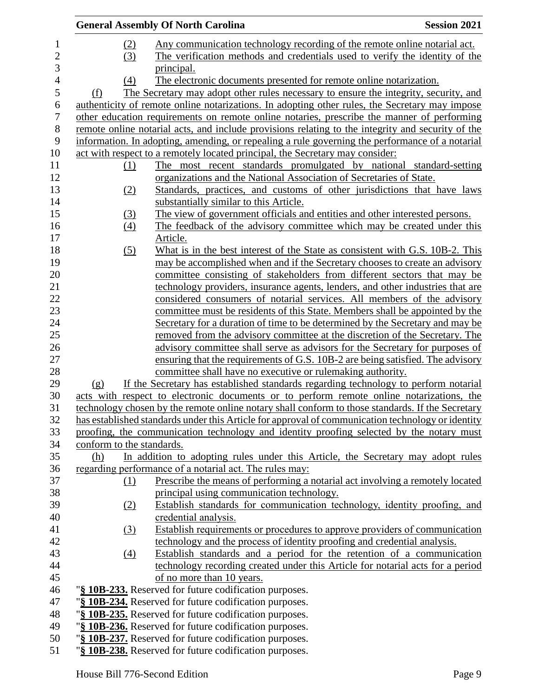|                  |                           | <b>General Assembly Of North Carolina</b>                                                         | <b>Session 2021</b> |
|------------------|---------------------------|---------------------------------------------------------------------------------------------------|---------------------|
| $\mathbf{1}$     | (2)                       | Any communication technology recording of the remote online notarial act.                         |                     |
| $\mathbf{2}$     | (3)                       | The verification methods and credentials used to verify the identity of the                       |                     |
| 3                |                           | principal.                                                                                        |                     |
| $\overline{4}$   | (4)                       | The electronic documents presented for remote online notarization.                                |                     |
| $\mathfrak s$    | (f)                       | The Secretary may adopt other rules necessary to ensure the integrity, security, and              |                     |
| 6                |                           | authenticity of remote online notarizations. In adopting other rules, the Secretary may impose    |                     |
| $\boldsymbol{7}$ |                           | other education requirements on remote online notaries, prescribe the manner of performing        |                     |
| $8\,$            |                           | remote online notarial acts, and include provisions relating to the integrity and security of the |                     |
| 9                |                           | information. In adopting, amending, or repealing a rule governing the performance of a notarial   |                     |
| 10               |                           | act with respect to a remotely located principal, the Secretary may consider:                     |                     |
| 11               | (1)                       | The most recent standards promulgated by national standard-setting                                |                     |
| 12               |                           | organizations and the National Association of Secretaries of State.                               |                     |
| 13               | (2)                       | Standards, practices, and customs of other jurisdictions that have laws                           |                     |
| 14               |                           | substantially similar to this Article.                                                            |                     |
| 15               | (3)                       | The view of government officials and entities and other interested persons.                       |                     |
| 16               | (4)                       | The feedback of the advisory committee which may be created under this                            |                     |
| 17               |                           | Article.                                                                                          |                     |
| 18               | (5)                       | What is in the best interest of the State as consistent with G.S. 10B-2. This                     |                     |
| 19               |                           | may be accomplished when and if the Secretary chooses to create an advisory                       |                     |
| 20               |                           | committee consisting of stakeholders from different sectors that may be                           |                     |
| 21               |                           | technology providers, insurance agents, lenders, and other industries that are                    |                     |
| 22               |                           | considered consumers of notarial services. All members of the advisory                            |                     |
| 23               |                           | committee must be residents of this State. Members shall be appointed by the                      |                     |
| 24               |                           | Secretary for a duration of time to be determined by the Secretary and may be                     |                     |
| 25               |                           | removed from the advisory committee at the discretion of the Secretary. The                       |                     |
| 26               |                           | advisory committee shall serve as advisors for the Secretary for purposes of                      |                     |
| 27               |                           | ensuring that the requirements of G.S. 10B-2 are being satisfied. The advisory                    |                     |
| 28               |                           | committee shall have no executive or rulemaking authority.                                        |                     |
| 29               | (g)                       | If the Secretary has established standards regarding technology to perform notarial               |                     |
| 30               |                           | acts with respect to electronic documents or to perform remote online notarizations, the          |                     |
| 31               |                           | technology chosen by the remote online notary shall conform to those standards. If the Secretary  |                     |
| 32<br>33         |                           | has established standards under this Article for approval of communication technology or identity |                     |
| 34               | conform to the standards. | proofing, the communication technology and identity proofing selected by the notary must          |                     |
| 35               | (h)                       | In addition to adopting rules under this Article, the Secretary may adopt rules                   |                     |
| 36               |                           | regarding performance of a notarial act. The rules may:                                           |                     |
| 37               | (1)                       | Prescribe the means of performing a notarial act involving a remotely located                     |                     |
| 38               |                           | principal using communication technology.                                                         |                     |
| 39               | (2)                       | Establish standards for communication technology, identity proofing, and                          |                     |
| 40               |                           | credential analysis.                                                                              |                     |
| 41               | (3)                       | Establish requirements or procedures to approve providers of communication                        |                     |
| 42               |                           | technology and the process of identity proofing and credential analysis.                          |                     |
| 43               | $\left(4\right)$          | Establish standards and a period for the retention of a communication                             |                     |
| 44               |                           | technology recording created under this Article for notarial acts for a period                    |                     |
| 45               |                           | of no more than 10 years.                                                                         |                     |
| 46               |                           | "§ 10B-233. Reserved for future codification purposes.                                            |                     |
| 47               |                           | "§ 10B-234. Reserved for future codification purposes.                                            |                     |
| 48               |                           | "§ 10B-235. Reserved for future codification purposes.                                            |                     |
| 49               |                           | "§ 10B-236. Reserved for future codification purposes.                                            |                     |
| 50               |                           | "§ 10B-237. Reserved for future codification purposes.                                            |                     |
| 51               |                           | "§ 10B-238. Reserved for future codification purposes.                                            |                     |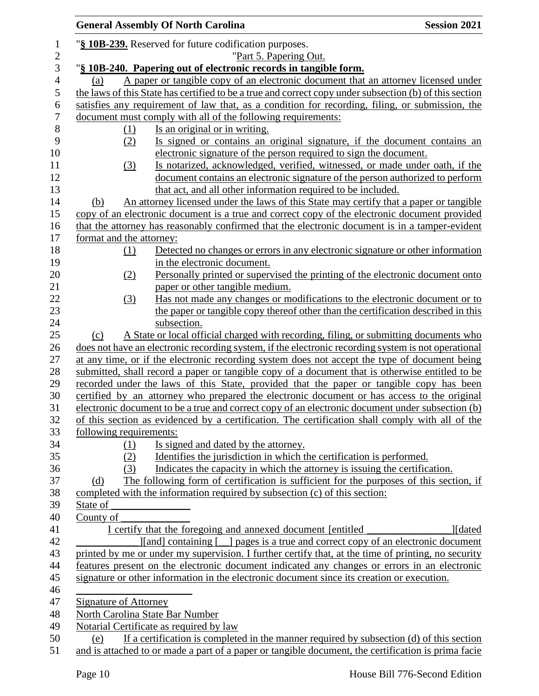|                  |                          | <b>General Assembly Of North Carolina</b>                                                                                                                                               | <b>Session 2021</b> |
|------------------|--------------------------|-----------------------------------------------------------------------------------------------------------------------------------------------------------------------------------------|---------------------|
| $\mathbf{1}$     |                          | "§ 10B-239. Reserved for future codification purposes.                                                                                                                                  |                     |
| $\mathbf{2}$     |                          | "Part 5. Papering Out.                                                                                                                                                                  |                     |
| 3                |                          | "§ 10B-240. Papering out of electronic records in tangible form.                                                                                                                        |                     |
| $\overline{4}$   | (a)                      | A paper or tangible copy of an electronic document that an attorney licensed under                                                                                                      |                     |
| 5                |                          | the laws of this State has certified to be a true and correct copy under subsection (b) of this section                                                                                 |                     |
| $\boldsymbol{6}$ |                          | satisfies any requirement of law that, as a condition for recording, filing, or submission, the                                                                                         |                     |
| $\tau$           |                          | document must comply with all of the following requirements:                                                                                                                            |                     |
| $\,8\,$          | (1)                      | Is an original or in writing.                                                                                                                                                           |                     |
| 9<br>10          | (2)                      | Is signed or contains an original signature, if the document contains an<br>electronic signature of the person required to sign the document.                                           |                     |
| 11               | (3)                      | Is notarized, acknowledged, verified, witnessed, or made under oath, if the                                                                                                             |                     |
| 12               |                          | document contains an electronic signature of the person authorized to perform                                                                                                           |                     |
| 13               |                          | that act, and all other information required to be included.                                                                                                                            |                     |
| 14               | (b)                      | An attorney licensed under the laws of this State may certify that a paper or tangible                                                                                                  |                     |
| 15               |                          | copy of an electronic document is a true and correct copy of the electronic document provided                                                                                           |                     |
| 16               |                          | that the attorney has reasonably confirmed that the electronic document is in a tamper-evident                                                                                          |                     |
| 17               | format and the attorney: |                                                                                                                                                                                         |                     |
| 18               | (1)                      | Detected no changes or errors in any electronic signature or other information                                                                                                          |                     |
| 19               |                          | in the electronic document.                                                                                                                                                             |                     |
| 20               | (2)                      | Personally printed or supervised the printing of the electronic document onto                                                                                                           |                     |
| 21               |                          | paper or other tangible medium.                                                                                                                                                         |                     |
| 22               | (3)                      | Has not made any changes or modifications to the electronic document or to                                                                                                              |                     |
| 23               |                          | the paper or tangible copy thereof other than the certification described in this                                                                                                       |                     |
| 24               |                          | subsection.                                                                                                                                                                             |                     |
| 25               | (c)                      | A State or local official charged with recording, filing, or submitting documents who                                                                                                   |                     |
| 26               |                          | does not have an electronic recording system, if the electronic recording system is not operational                                                                                     |                     |
| 27               |                          | at any time, or if the electronic recording system does not accept the type of document being                                                                                           |                     |
| 28               |                          | submitted, shall record a paper or tangible copy of a document that is otherwise entitled to be                                                                                         |                     |
| 29               |                          | recorded under the laws of this State, provided that the paper or tangible copy has been                                                                                                |                     |
| 30               |                          | certified by an attorney who prepared the electronic document or has access to the original                                                                                             |                     |
| 31               |                          | electronic document to be a true and correct copy of an electronic document under subsection (b)                                                                                        |                     |
| 32               |                          | of this section as evidenced by a certification. The certification shall comply with all of the                                                                                         |                     |
| 33               | following requirements:  |                                                                                                                                                                                         |                     |
| 34               | (1)                      | Is signed and dated by the attorney.                                                                                                                                                    |                     |
| 35               | (2)                      | Identifies the jurisdiction in which the certification is performed.                                                                                                                    |                     |
| 36               | (3)                      | Indicates the capacity in which the attorney is issuing the certification.                                                                                                              |                     |
| 37               | (d)                      | The following form of certification is sufficient for the purposes of this section, if                                                                                                  |                     |
| 38               |                          | completed with the information required by subsection (c) of this section:                                                                                                              |                     |
| 39               | State of                 |                                                                                                                                                                                         |                     |
| 40               | County of                |                                                                                                                                                                                         |                     |
| 41               |                          | I certify that the foregoing and annexed document [entitled]                                                                                                                            | <b>I</b> [dated]    |
| 42<br>43         |                          | [[and] containing [_] pages is a true and correct copy of an electronic document<br>printed by me or under my supervision. I further certify that, at the time of printing, no security |                     |
| 44               |                          | features present on the electronic document indicated any changes or errors in an electronic                                                                                            |                     |
| 45               |                          | signature or other information in the electronic document since its creation or execution.                                                                                              |                     |
| 46               |                          |                                                                                                                                                                                         |                     |
| 47               | Signature of Attorney    |                                                                                                                                                                                         |                     |
| 48               |                          | <b>North Carolina State Bar Number</b>                                                                                                                                                  |                     |
| 49               |                          | Notarial Certificate as required by law                                                                                                                                                 |                     |
| 50               | (e)                      | If a certification is completed in the manner required by subsection $(d)$ of this section                                                                                              |                     |
| 51               |                          | and is attached to or made a part of a paper or tangible document, the certification is prima facie                                                                                     |                     |